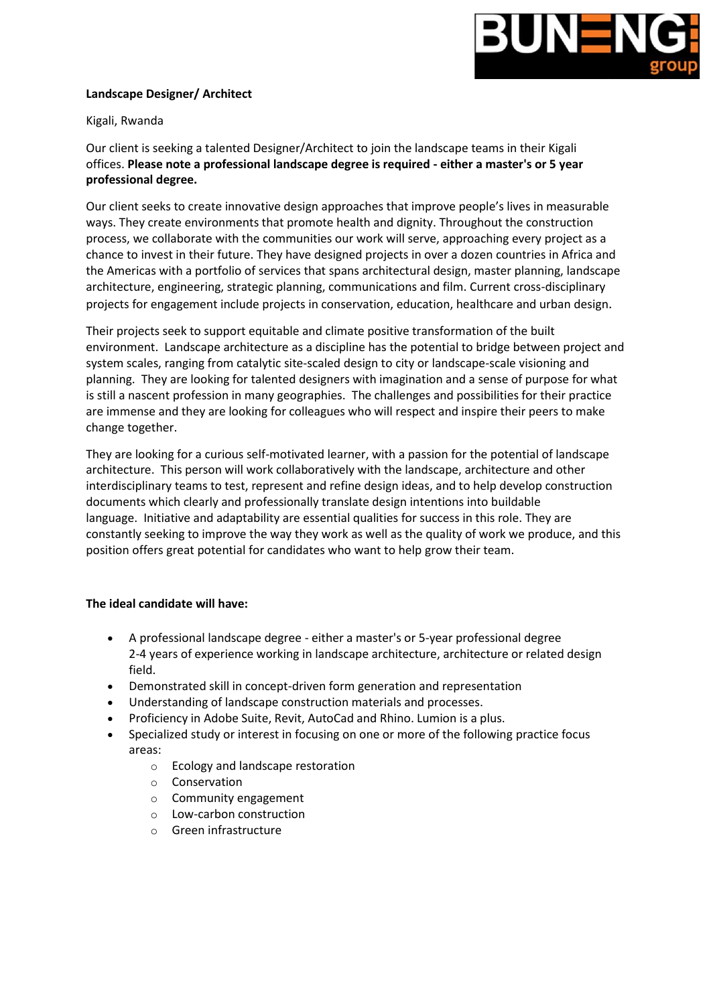

## **Landscape Designer/ Architect**

## Kigali, Rwanda

Our client is seeking a talented Designer/Architect to join the landscape teams in their Kigali offices. **Please note a professional landscape degree is required - either a master's or 5 year professional degree.**

Our client seeks to create innovative design approaches that improve people's lives in measurable ways. They create environments that promote health and dignity. Throughout the construction process, we collaborate with the communities our work will serve, approaching every project as a chance to invest in their future. They have designed projects in over a dozen countries in Africa and the Americas with a portfolio of services that spans architectural design, master planning, landscape architecture, engineering, strategic planning, communications and film. Current cross-disciplinary projects for engagement include projects in conservation, education, healthcare and urban design.

Their projects seek to support equitable and climate positive transformation of the built environment. Landscape architecture as a discipline has the potential to bridge between project and system scales, ranging from catalytic site-scaled design to city or landscape-scale visioning and planning. They are looking for talented designers with imagination and a sense of purpose for what is still a nascent profession in many geographies. The challenges and possibilities for their practice are immense and they are looking for colleagues who will respect and inspire their peers to make change together.

They are looking for a curious self-motivated learner, with a passion for the potential of landscape architecture. This person will work collaboratively with the landscape, architecture and other interdisciplinary teams to test, represent and refine design ideas, and to help develop construction documents which clearly and professionally translate design intentions into buildable language. Initiative and adaptability are essential qualities for success in this role. They are constantly seeking to improve the way they work as well as the quality of work we produce, and this position offers great potential for candidates who want to help grow their team.

## **The ideal candidate will have:**

- A professional landscape degree either a master's or 5-year professional degree 2-4 years of experience working in landscape architecture, architecture or related design field.
- Demonstrated skill in concept-driven form generation and representation
- Understanding of landscape construction materials and processes.
- Proficiency in Adobe Suite, Revit, AutoCad and Rhino. Lumion is a plus.
- Specialized study or interest in focusing on one or more of the following practice focus areas:
	- o Ecology and landscape restoration
	- o Conservation
	- o Community engagement
	- o Low-carbon construction
	- o Green infrastructure